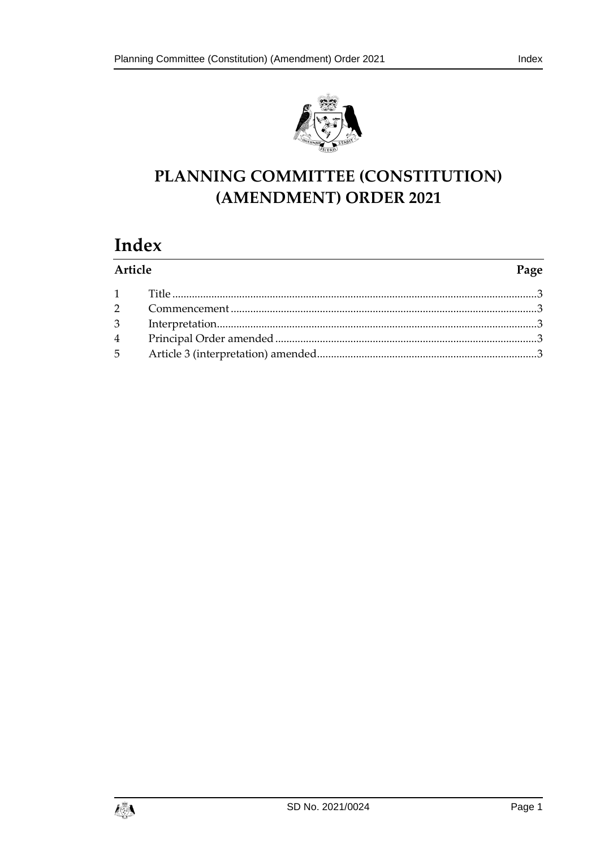

# PLANNING COMMITTEE (CONSTITUTION) (AMENDMENT) ORDER 2021

# Index

| Article |  | Page |
|---------|--|------|
|         |  |      |
|         |  |      |
|         |  |      |
|         |  |      |
|         |  |      |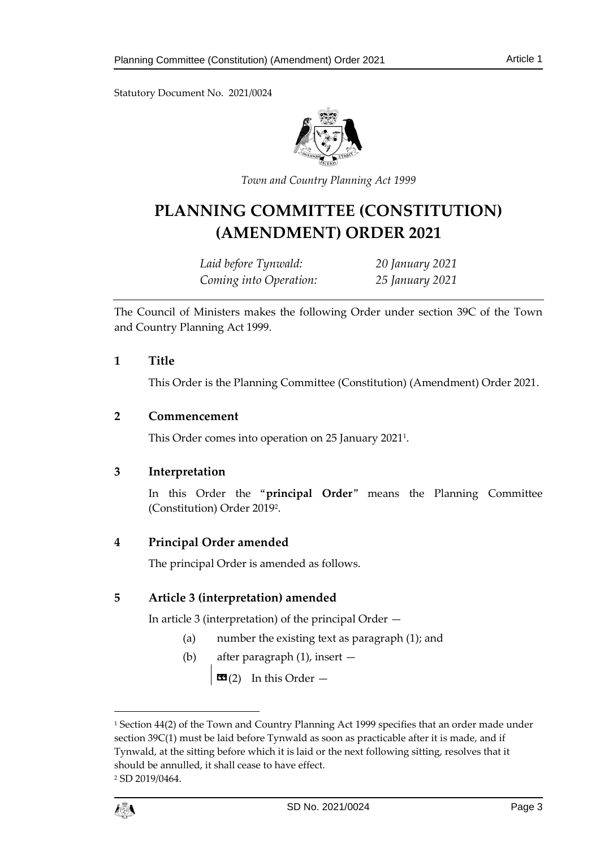Statutory Document No. 2021/0024



*Town and Country Planning Act 1999*

## **PLANNING COMMITTEE (CONSTITUTION) (AMENDMENT) ORDER 2021**

*Laid before Tynwald: 20 January 2021 Coming into Operation: 25 January 2021*

The Council of Ministers makes the following Order under section 39C of the Town and Country Planning Act 1999.

#### <span id="page-2-0"></span>**1 Title**

This Order is the Planning Committee (Constitution) (Amendment) Order 2021.

#### <span id="page-2-1"></span>**2 Commencement**

This Order comes into operation on 25 January 2021<sup>1</sup> .

## <span id="page-2-2"></span>**3 Interpretation**

In this Order the "**principal Order**" means the Planning Committee (Constitution) Order 2019<sup>2</sup> .

## <span id="page-2-3"></span>**4 Principal Order amended**

The principal Order is amended as follows.

## <span id="page-2-4"></span>**5 Article 3 (interpretation) amended**

In article 3 (interpretation) of the principal Order —

- (a) number the existing text as paragraph (1); and
- (b) after paragraph (1), insert —

 $\left| \frac{d\mathbf{G}}{2} \right|$  In this Order  $-$ 

<sup>&</sup>lt;sup>1</sup> Section 44(2) of the Town and Country Planning Act 1999 specifies that an order made under section 39C(1) must be laid before Tynwald as soon as practicable after it is made, and if Tynwald, at the sitting before which it is laid or the next following sitting, resolves that it should be annulled, it shall cease to have effect. <sup>2</sup> SD 2019/0464.



1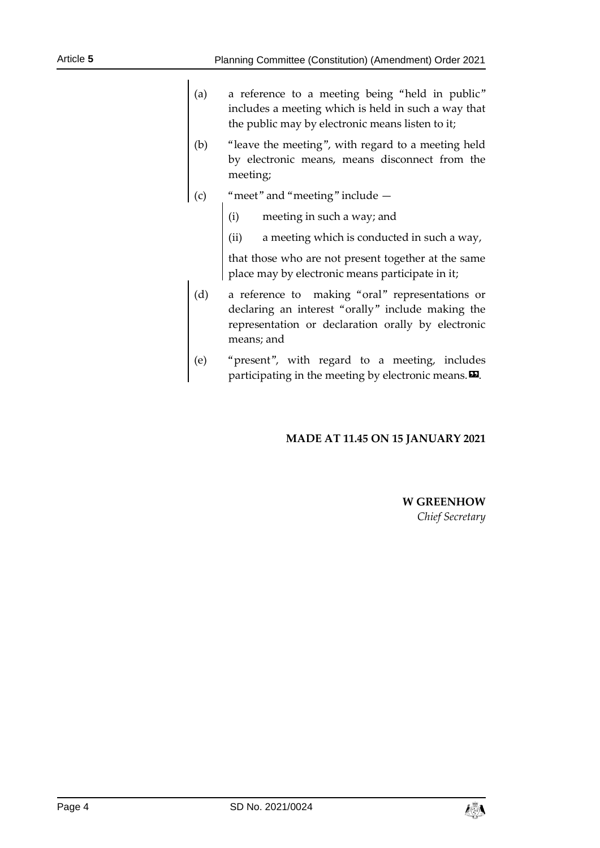- (a) a reference to a meeting being "held in public" includes a meeting which is held in such a way that the public may by electronic means listen to it;
- (b) "leave the meeting", with regard to a meeting held by electronic means, means disconnect from the meeting;
- (c) "meet" and "meeting" include
	- (i) meeting in such a way; and
	- (ii) a meeting which is conducted in such a way,

that those who are not present together at the same place may by electronic means participate in it;

- (d) a reference to making "oral" representations or declaring an interest "orally" include making the representation or declaration orally by electronic means; and
- (e) "present", with regard to a meeting, includes participating in the meeting by electronic means. $\boldsymbol{\mathsf{\Xi}}$ .

## **MADE AT 11.45 ON 15 JANUARY 2021**

#### **W GREENHOW** *Chief Secretary*